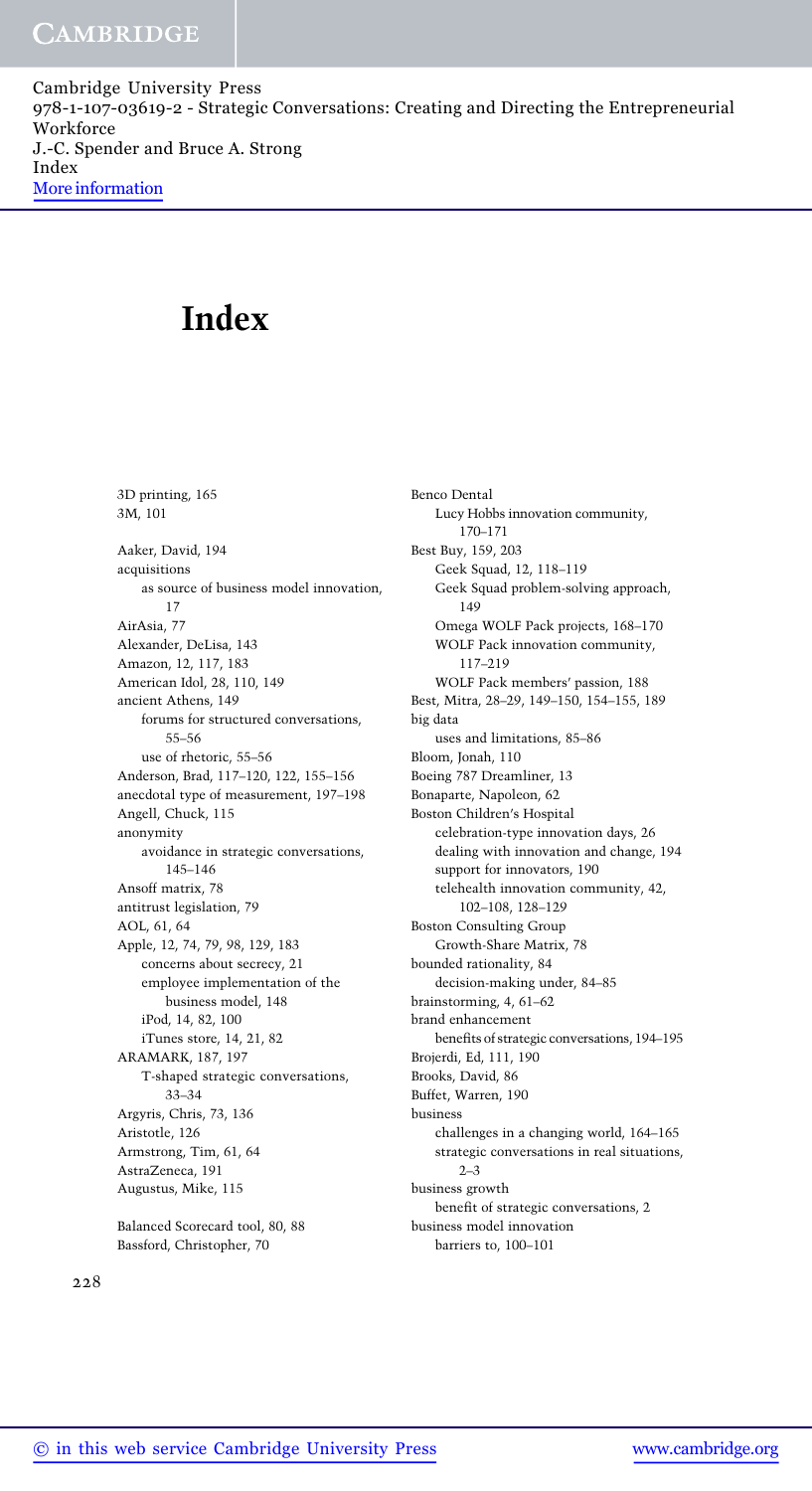Cambridge University Press 978-1-107-03619-2 - Strategic Conversations: Creating and Directing the Entrepreneurial Workforce J.-C. Spender and Bruce A. Strong Index More information

# Index

3D printing, 165 3M, 101 Aaker, David, 194 acquisitions as source of business model innovation, 17 AirAsia, 77 Alexander, DeLisa, 143 Amazon, 12, 117, 183 American Idol, 28, 110, 149 ancient Athens, 149 forums for structured conversations, 55–56 use of rhetoric, 55–56 Anderson, Brad, 117–120, 122, 155–156 anecdotal type of measurement, 197–198 Angell, Chuck, 115 anonymity avoidance in strategic conversations, 145–146 Ansoff matrix, 78 antitrust legislation, 79 AOL, 61, 64 Apple, 12, 74, 79, 98, 129, 183 concerns about secrecy, 21 employee implementation of the business model, 148 iPod, 14, 82, 100 iTunes store, 14, 21, 82 ARAMARK, 187, 197 T-shaped strategic conversations, 33–34 Argyris, Chris, 73, 136 Aristotle, 126 Armstrong, Tim, 61, 64 AstraZeneca, 191 Augustus, Mike, 115

Balanced Scorecard tool, 80, 88 Bassford, Christopher, 70

Benco Dental Lucy Hobbs innovation community, 170–171 Best Buy, 159, 203 Geek Squad, 12, 118–119 Geek Squad problem-solving approach, 149 Omega WOLF Pack projects, 168–170 WOLF Pack innovation community, 117–219 WOLF Pack members' passion, 188 Best, Mitra, 28–29, 149–150, 154–155, 189 big data uses and limitations, 85–86 Bloom, Jonah, 110 Boeing 787 Dreamliner, 13 Bonaparte, Napoleon, 62 Boston Children's Hospital celebration-type innovation days, 26 dealing with innovation and change, 194 support for innovators, 190 telehealth innovation community, 42, 102–108, 128–129 Boston Consulting Group Growth-Share Matrix, 78 bounded rationality, 84 decision-making under, 84–85 brainstorming, 4, 61–62 brand enhancement benefits of strategic conversations, 194–195 Brojerdi, Ed, 111, 190 Brooks, David, 86 Buffet, Warren, 190 business challenges in a changing world, 164–165 strategic conversations in real situations,  $2 - 3$ business growth benefit of strategic conversations, 2 business model innovation barriers to, 100–101

228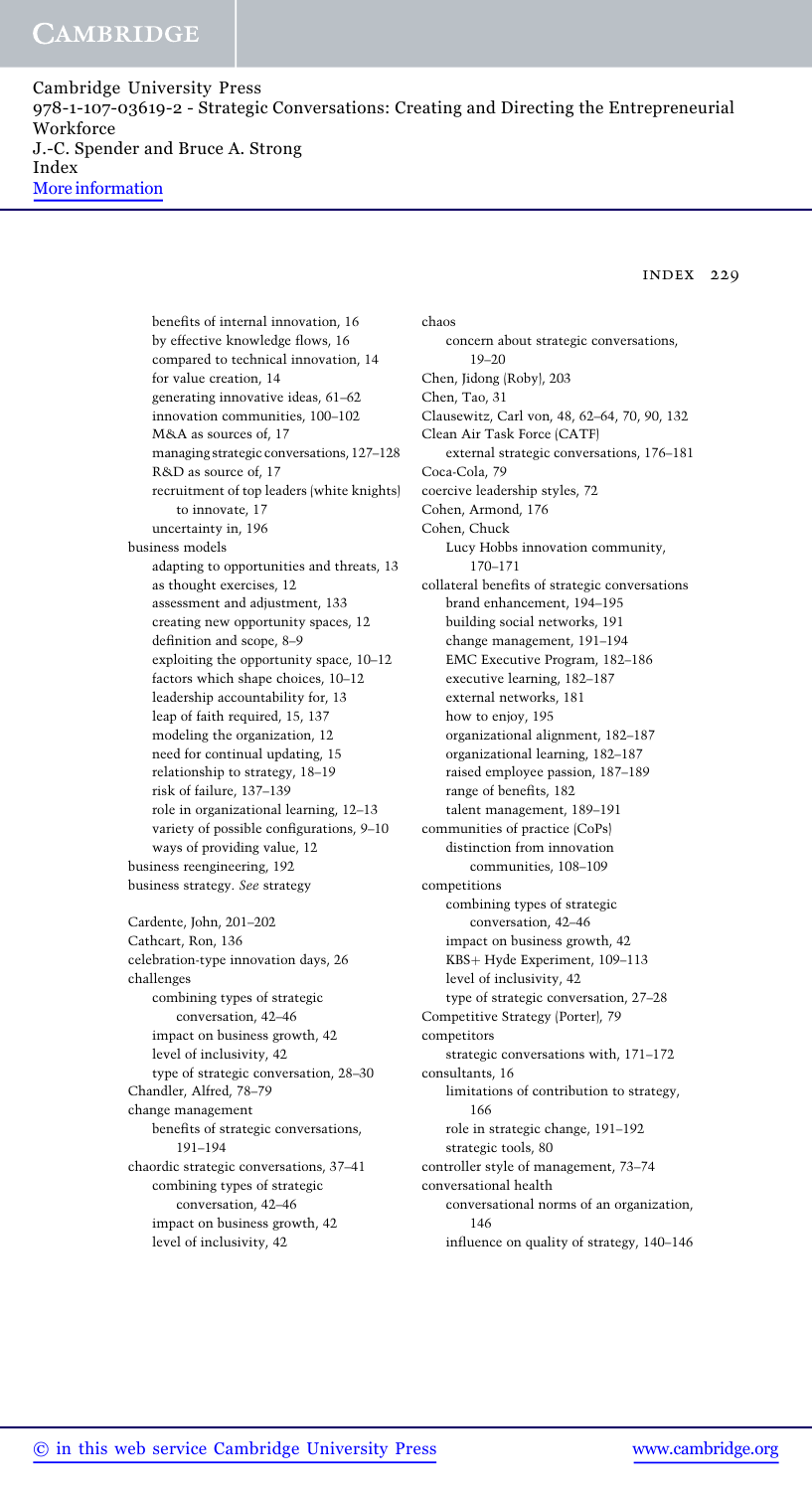Cambridge University Press 978-1-107-03619-2 - Strategic Conversations: Creating and Directing the Entrepreneurial Workforce J.-C. Spender and Bruce A. Strong Index More information

index 229

benefits of internal innovation, 16 by effective knowledge flows, 16 compared to technical innovation, 14 for value creation, 14 generating innovative ideas, 61–62 innovation communities, 100–102 M&A as sources of, 17 managing strategic conversations, 127–128 R&D as source of, 17 recruitment of top leaders (white knights) to innovate, 17 uncertainty in, 196 business models adapting to opportunities and threats, 13 as thought exercises, 12 assessment and adjustment, 133 creating new opportunity spaces, 12 definition and scope, 8–9 exploiting the opportunity space, 10–12 factors which shape choices, 10–12 leadership accountability for, 13 leap of faith required, 15, 137 modeling the organization, 12 need for continual updating, 15 relationship to strategy, 18–19 risk of failure, 137–139 role in organizational learning, 12–13 variety of possible configurations, 9–10 ways of providing value, 12 business reengineering, 192 business strategy. See strategy Cardente, John, 201–202 Cathcart, Ron, 136 celebration-type innovation days, 26 challenges combining types of strategic conversation, 42–46 impact on business growth, 42 level of inclusivity, 42 type of strategic conversation, 28–30 Chandler, Alfred, 78–79 change management benefits of strategic conversations, 191–194 chaordic strategic conversations, 37–41 combining types of strategic conversation, 42–46 impact on business growth, 42 level of inclusivity, 42

chaos concern about strategic conversations, 19–20 Chen, Jidong (Roby), 203 Chen, Tao, 31 Clausewitz, Carl von, 48, 62–64, 70, 90, 132 Clean Air Task Force (CATF) external strategic conversations, 176–181 Coca-Cola, 79 coercive leadership styles, 72 Cohen, Armond, 176 Cohen, Chuck Lucy Hobbs innovation community, 170–171 collateral benefits of strategic conversations brand enhancement, 194–195 building social networks, 191 change management, 191–194 EMC Executive Program, 182–186 executive learning, 182–187 external networks, 181 how to enjoy, 195 organizational alignment, 182–187 organizational learning, 182–187 raised employee passion, 187–189 range of benefits, 182 talent management, 189–191 communities of practice (CoPs) distinction from innovation communities, 108–109 competitions combining types of strategic conversation, 42–46 impact on business growth, 42 KBS+ Hyde Experiment, 109-113 level of inclusivity, 42 type of strategic conversation, 27–28 Competitive Strategy (Porter), 79 competitors strategic conversations with, 171–172 consultants, 16 limitations of contribution to strategy, 166 role in strategic change, 191–192 strategic tools, 80 controller style of management, 73–74 conversational health conversational norms of an organization, 146 influence on quality of strategy, 140–146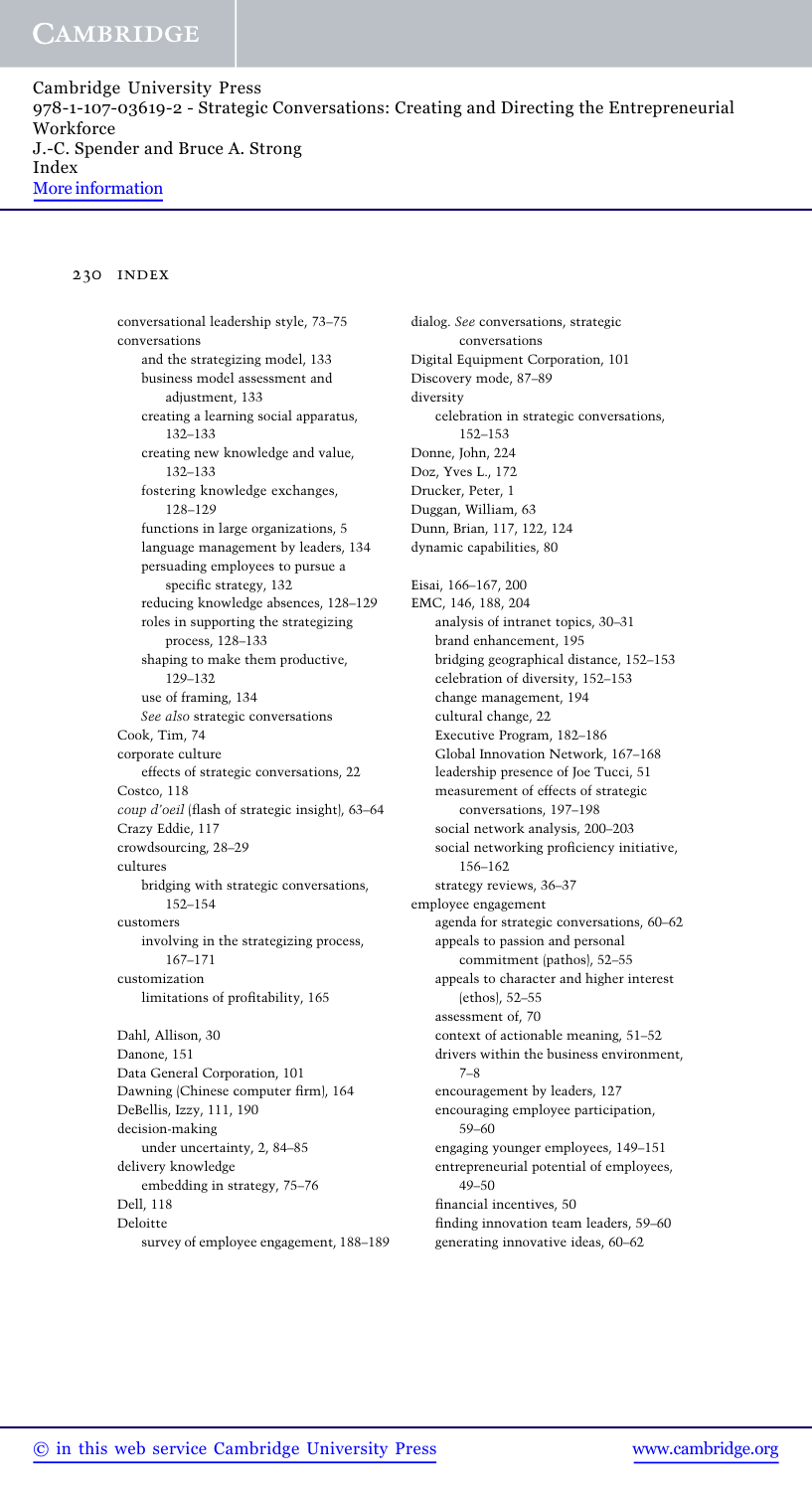Cambridge University Press 978-1-107-03619-2 - Strategic Conversations: Creating and Directing the Entrepreneurial Workforce J.-C. Spender and Bruce A. Strong Index More information

### 230 index

conversational leadership style, 73–75 conversations and the strategizing model, 133 business model assessment and adjustment, 133 creating a learning social apparatus, 132–133 creating new knowledge and value, 132–133 fostering knowledge exchanges, 128–129 functions in large organizations, 5 language management by leaders, 134 persuading employees to pursue a specific strategy, 132 reducing knowledge absences, 128–129 roles in supporting the strategizing process, 128–133 shaping to make them productive, 129–132 use of framing, 134 See also strategic conversations Cook, Tim, 74 corporate culture effects of strategic conversations, 22 Costco, 118 coup d'oeil (flash of strategic insight), 63–64 Crazy Eddie, 117 crowdsourcing, 28–29 cultures bridging with strategic conversations, 152–154 customers involving in the strategizing process, 167–171 customization limitations of profitability, 165 Dahl, Allison, 30 Danone, 151 Data General Corporation, 101 Dawning (Chinese computer firm), 164 DeBellis, Izzy, 111, 190 decision-making under uncertainty, 2, 84–85 delivery knowledge embedding in strategy, 75–76 Dell, 118 Deloitte survey of employee engagement, 188–189 dialog. See conversations, strategic conversations Digital Equipment Corporation, 101 Discovery mode, 87–89 diversity celebration in strategic conversations, 152–153 Donne, John, 224 Doz, Yves L., 172 Drucker, Peter, 1 Duggan, William, 63 Dunn, Brian, 117, 122, 124 dynamic capabilities, 80 Eisai, 166–167, 200 EMC, 146, 188, 204 analysis of intranet topics, 30–31 brand enhancement, 195 bridging geographical distance, 152–153 celebration of diversity, 152–153 change management, 194 cultural change, 22 Executive Program, 182–186 Global Innovation Network, 167–168 leadership presence of Joe Tucci, 51 measurement of effects of strategic conversations, 197–198 social network analysis, 200–203 social networking proficiency initiative, 156–162 strategy reviews, 36–37 employee engagement agenda for strategic conversations, 60–62 appeals to passion and personal commitment (pathos), 52–55 appeals to character and higher interest (ethos), 52–55 assessment of, 70 context of actionable meaning, 51–52 drivers within the business environment, 7–8 encouragement by leaders, 127 encouraging employee participation, 59–60 engaging younger employees, 149–151 entrepreneurial potential of employees, 49–50 financial incentives, 50 finding innovation team leaders, 59–60 generating innovative ideas, 60–62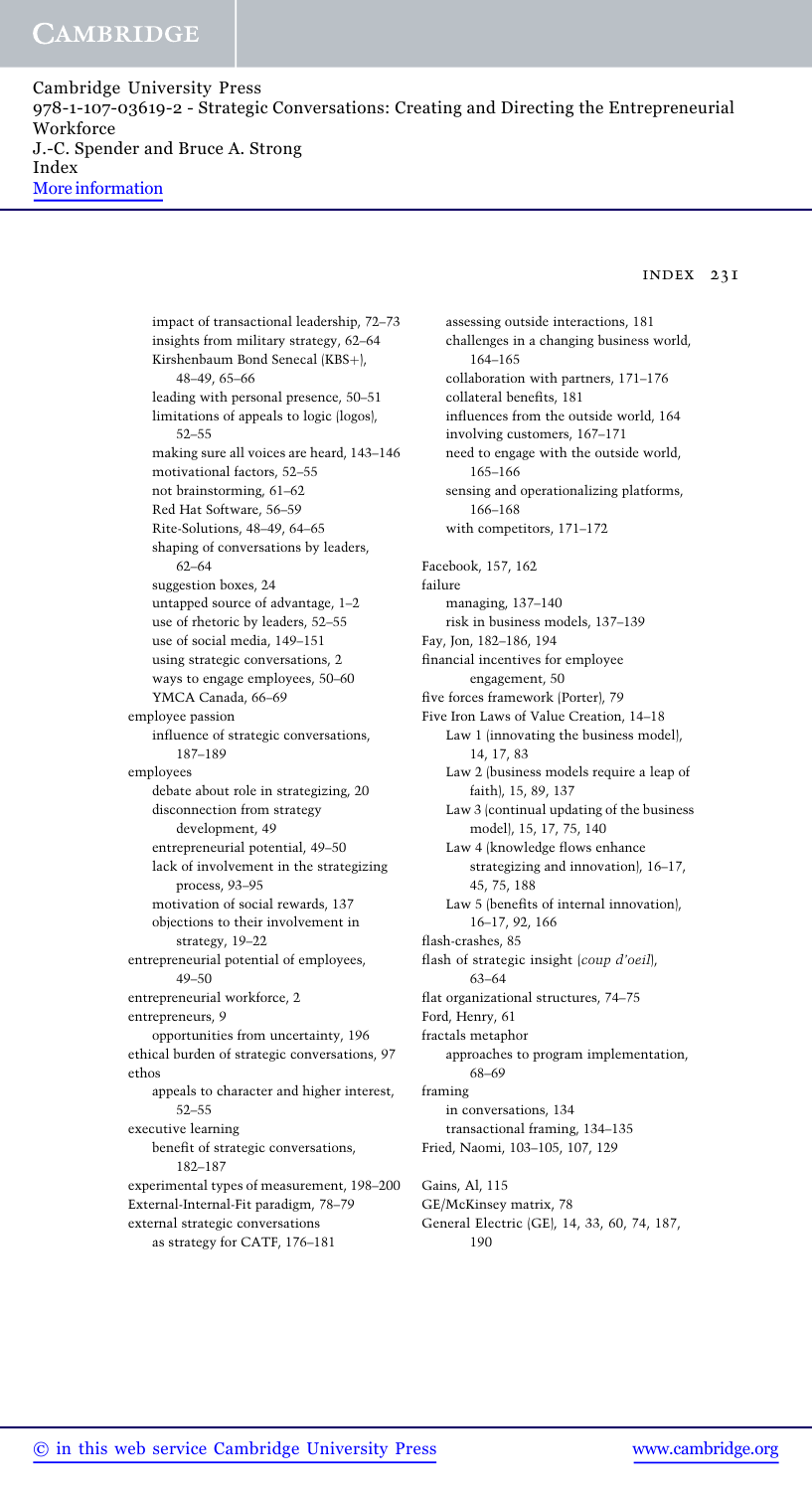Cambridge University Press 978-1-107-03619-2 - Strategic Conversations: Creating and Directing the Entrepreneurial Workforce J.-C. Spender and Bruce A. Strong Index More information

#### index 231

impact of transactional leadership, 72–73 insights from military strategy, 62–64 Kirshenbaum Bond Senecal (KBS+), 48–49, 65–66 leading with personal presence, 50–51 limitations of appeals to logic (logos), 52–55 making sure all voices are heard, 143–146 motivational factors, 52–55 not brainstorming, 61–62 Red Hat Software, 56–59 Rite-Solutions, 48–49, 64–65 shaping of conversations by leaders, 62–64 suggestion boxes, 24 untapped source of advantage, 1–2 use of rhetoric by leaders, 52–55 use of social media, 149–151 using strategic conversations, 2 ways to engage employees, 50–60 YMCA Canada, 66–69 employee passion influence of strategic conversations, 187–189 employees debate about role in strategizing, 20 disconnection from strategy development, 49 entrepreneurial potential, 49–50 lack of involvement in the strategizing process, 93–95 motivation of social rewards, 137 objections to their involvement in strategy, 19–22 entrepreneurial potential of employees, 49–50 entrepreneurial workforce, 2 entrepreneurs, 9 opportunities from uncertainty, 196 ethical burden of strategic conversations, 97 ethos appeals to character and higher interest, 52–55 executive learning benefit of strategic conversations, 182–187 experimental types of measurement, 198–200 External-Internal-Fit paradigm, 78–79 external strategic conversations as strategy for CATF, 176–181

assessing outside interactions, 181 challenges in a changing business world, 164–165 collaboration with partners, 171–176 collateral benefits, 181 influences from the outside world, 164 involving customers, 167–171 need to engage with the outside world, 165–166 sensing and operationalizing platforms, 166–168 with competitors, 171–172 Facebook, 157, 162 failure managing, 137–140 risk in business models, 137–139 Fay, Jon, 182–186, 194 financial incentives for employee engagement, 50 five forces framework (Porter), 79 Five Iron Laws of Value Creation, 14–18 Law 1 (innovating the business model), 14, 17, 83 Law 2 (business models require a leap of faith), 15, 89, 137 Law 3 (continual updating of the business model), 15, 17, 75, 140 Law 4 (knowledge flows enhance strategizing and innovation), 16–17, 45, 75, 188 Law 5 (benefits of internal innovation), 16–17, 92, 166 flash-crashes, 85 flash of strategic insight (coup d'oeil), 63–64 flat organizational structures, 74–75 Ford, Henry, 61 fractals metaphor approaches to program implementation, 68–69 framing in conversations, 134 transactional framing, 134–135 Fried, Naomi, 103–105, 107, 129 Gains, Al, 115 GE/McKinsey matrix, 78

General Electric (GE), 14, 33, 60, 74, 187, 190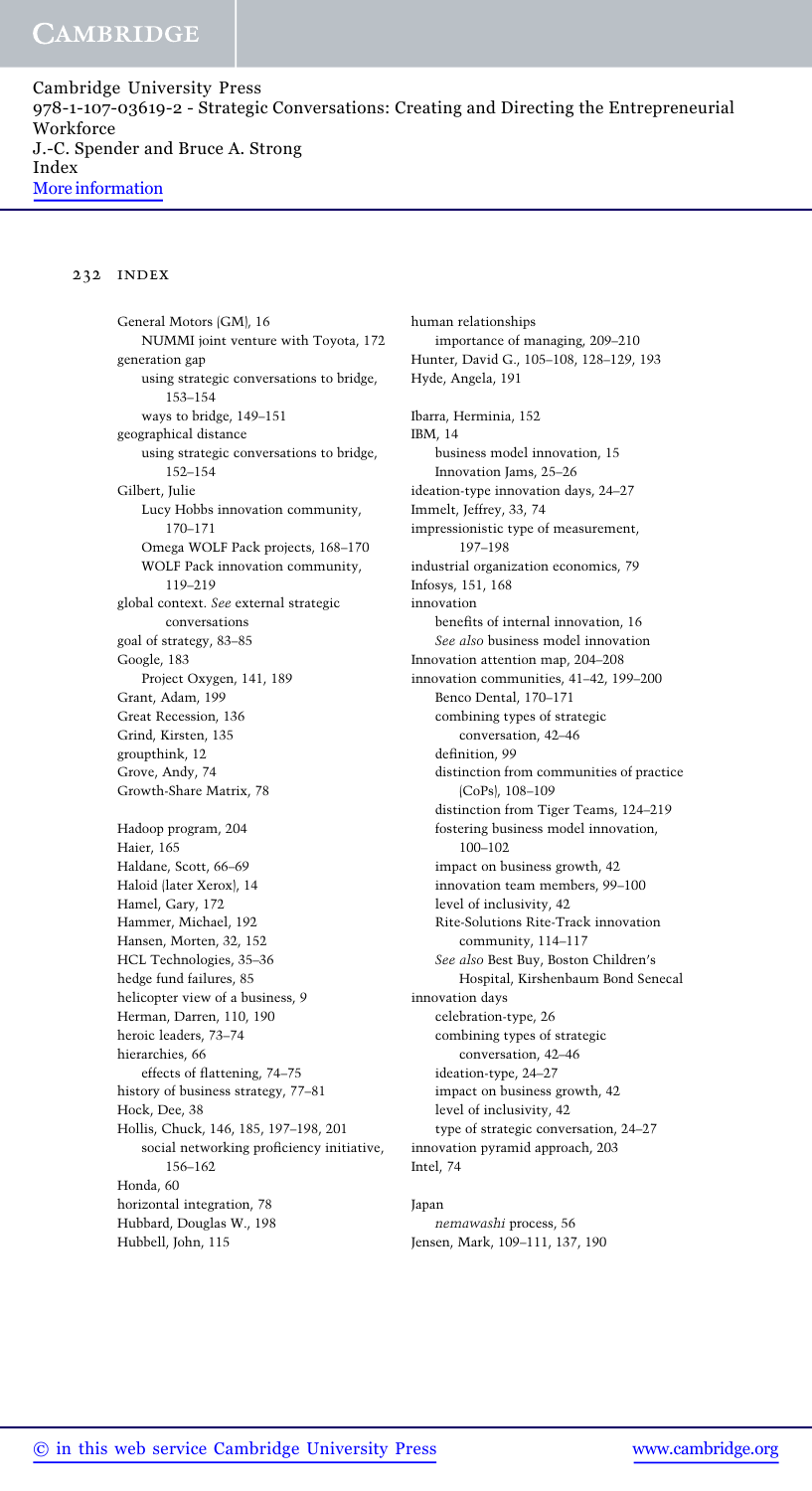Cambridge University Press 978-1-107-03619-2 - Strategic Conversations: Creating and Directing the Entrepreneurial Workforce J.-C. Spender and Bruce A. Strong Index More information

### 232 index

General Motors (GM), 16 NUMMI joint venture with Toyota, 172 generation gap using strategic conversations to bridge, 153–154 ways to bridge, 149–151 geographical distance using strategic conversations to bridge, 152–154 Gilbert, Julie Lucy Hobbs innovation community, 170–171 Omega WOLF Pack projects, 168–170 WOLF Pack innovation community, 119–219 global context. See external strategic conversations goal of strategy, 83–85 Google, 183 Project Oxygen, 141, 189 Grant, Adam, 199 Great Recession, 136 Grind, Kirsten, 135 groupthink, 12 Grove, Andy, 74 Growth-Share Matrix, 78 Hadoop program, 204 Haier, 165 Haldane, Scott, 66–69 Haloid (later Xerox), 14 Hamel, Gary, 172 Hammer, Michael, 192 Hansen, Morten, 32, 152 HCL Technologies, 35–36 hedge fund failures, 85 helicopter view of a business, 9 Herman, Darren, 110, 190 heroic leaders, 73–74 hierarchies, 66 effects of flattening, 74–75 history of business strategy, 77–81 Hock, Dee, 38 Hollis, Chuck, 146, 185, 197–198, 201 social networking proficiency initiative, 156–162 Honda, 60 horizontal integration, 78 Hubbard, Douglas W., 198 Hubbell, John, 115

human relationships importance of managing, 209–210 Hunter, David G., 105–108, 128–129, 193 Hyde, Angela, 191 Ibarra, Herminia, 152 IBM, 14 business model innovation, 15 Innovation Jams, 25–26 ideation-type innovation days, 24–27 Immelt, Jeffrey, 33, 74 impressionistic type of measurement, 197–198 industrial organization economics, 79 Infosys, 151, 168 innovation benefits of internal innovation, 16 See also business model innovation Innovation attention map, 204–208 innovation communities, 41–42, 199–200 Benco Dental, 170–171 combining types of strategic conversation, 42–46 definition, 99 distinction from communities of practice (CoPs), 108–109 distinction from Tiger Teams, 124–219 fostering business model innovation, 100–102 impact on business growth, 42 innovation team members, 99–100 level of inclusivity, 42 Rite-Solutions Rite-Track innovation community, 114–117 See also Best Buy, Boston Children's Hospital, Kirshenbaum Bond Senecal innovation days celebration-type, 26 combining types of strategic conversation, 42–46 ideation-type, 24–27 impact on business growth, 42 level of inclusivity, 42 type of strategic conversation, 24–27 innovation pyramid approach, 203 Intel, 74

#### Japan

nemawashi process, 56 Jensen, Mark, 109–111, 137, 190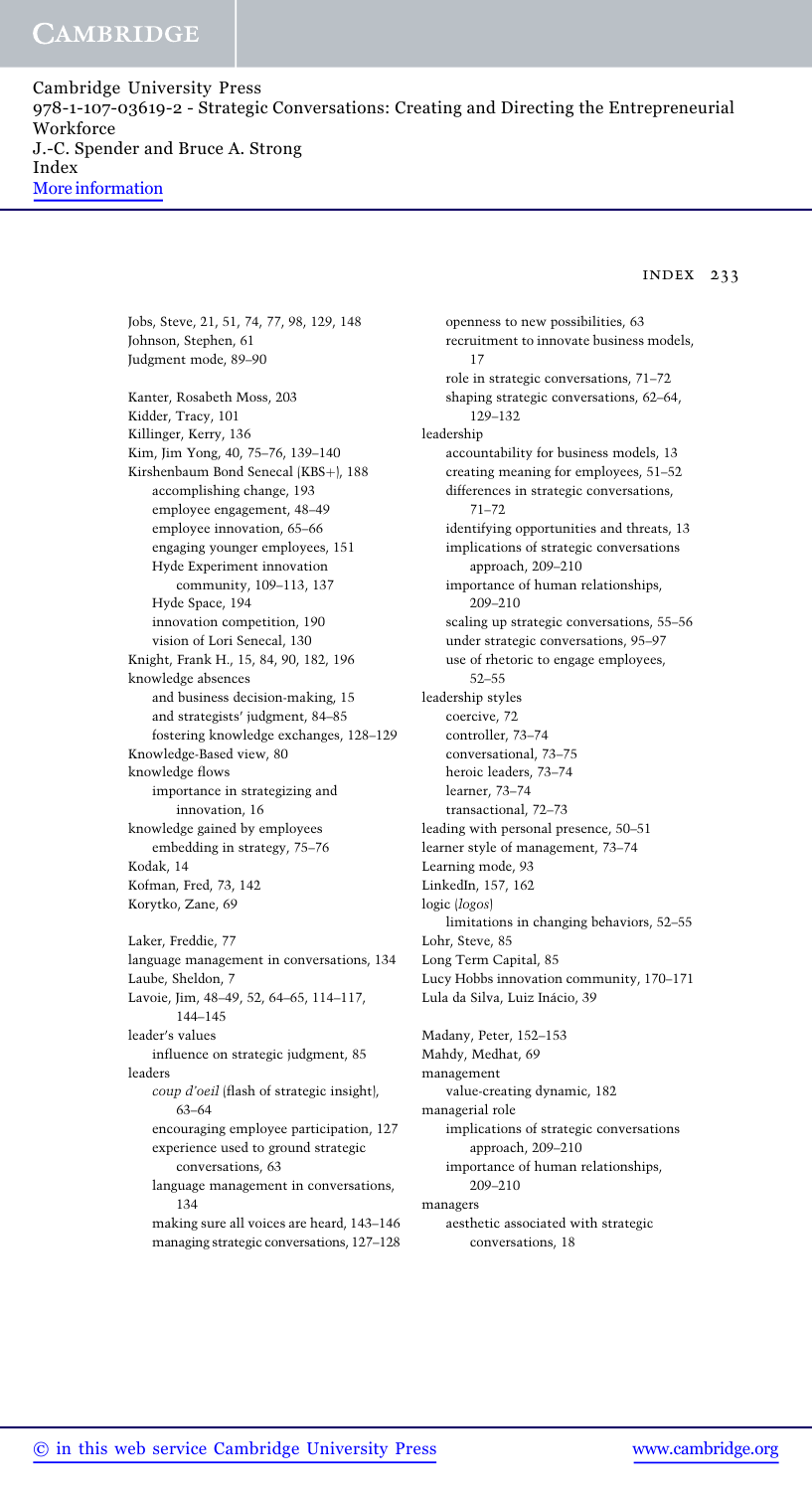Cambridge University Press 978-1-107-03619-2 - Strategic Conversations: Creating and Directing the Entrepreneurial Workforce J.-C. Spender and Bruce A. Strong Index More information

### index 233

Jobs, Steve, 21, 51, 74, 77, 98, 129, 148 Johnson, Stephen, 61 Judgment mode, 89–90 Kanter, Rosabeth Moss, 203 Kidder, Tracy, 101 Killinger, Kerry, 136 Kim, Jim Yong, 40, 75–76, 139–140 Kirshenbaum Bond Senecal (KBS+), 188 accomplishing change, 193 employee engagement, 48–49 employee innovation, 65–66 engaging younger employees, 151 Hyde Experiment innovation community, 109–113, 137 Hyde Space, 194 innovation competition, 190 vision of Lori Senecal, 130 Knight, Frank H., 15, 84, 90, 182, 196 knowledge absences and business decision-making, 15 and strategists' judgment, 84–85 fostering knowledge exchanges, 128–129 Knowledge-Based view, 80 knowledge flows importance in strategizing and innovation, 16 knowledge gained by employees embedding in strategy, 75–76 Kodak, 14 Kofman, Fred, 73, 142 Korytko, Zane, 69 Laker, Freddie, 77 language management in conversations, 134 Laube, Sheldon, 7 Lavoie, Jim, 48–49, 52, 64–65, 114–117, 144–145 leader's values influence on strategic judgment, 85 leaders coup d'oeil (flash of strategic insight), 63–64 encouraging employee participation, 127 experience used to ground strategic conversations, 63

language management in conversations, 134

making sure all voices are heard, 143–146 managing strategic conversations, 127–128

openness to new possibilities, 63 recruitment to innovate business models, 17 role in strategic conversations, 71–72 shaping strategic conversations, 62–64, 129–132 leadership accountability for business models, 13 creating meaning for employees, 51–52 differences in strategic conversations, 71–72 identifying opportunities and threats, 13 implications of strategic conversations approach, 209–210 importance of human relationships, 209–210 scaling up strategic conversations, 55–56 under strategic conversations, 95–97 use of rhetoric to engage employees, 52–55 leadership styles coercive, 72 controller, 73–74 conversational, 73–75 heroic leaders, 73–74 learner, 73–74 transactional, 72–73 leading with personal presence, 50–51 learner style of management, 73–74 Learning mode, 93 LinkedIn, 157, 162 logic (logos) limitations in changing behaviors, 52–55 Lohr, Steve, 85 Long Term Capital, 85 Lucy Hobbs innovation community, 170–171 Lula da Silva, Luiz Inácio, 39 Madany, Peter, 152–153 Mahdy, Medhat, 69 management value-creating dynamic, 182 managerial role implications of strategic conversations approach, 209–210

importance of human relationships, 209–210

managers

aesthetic associated with strategic conversations, 18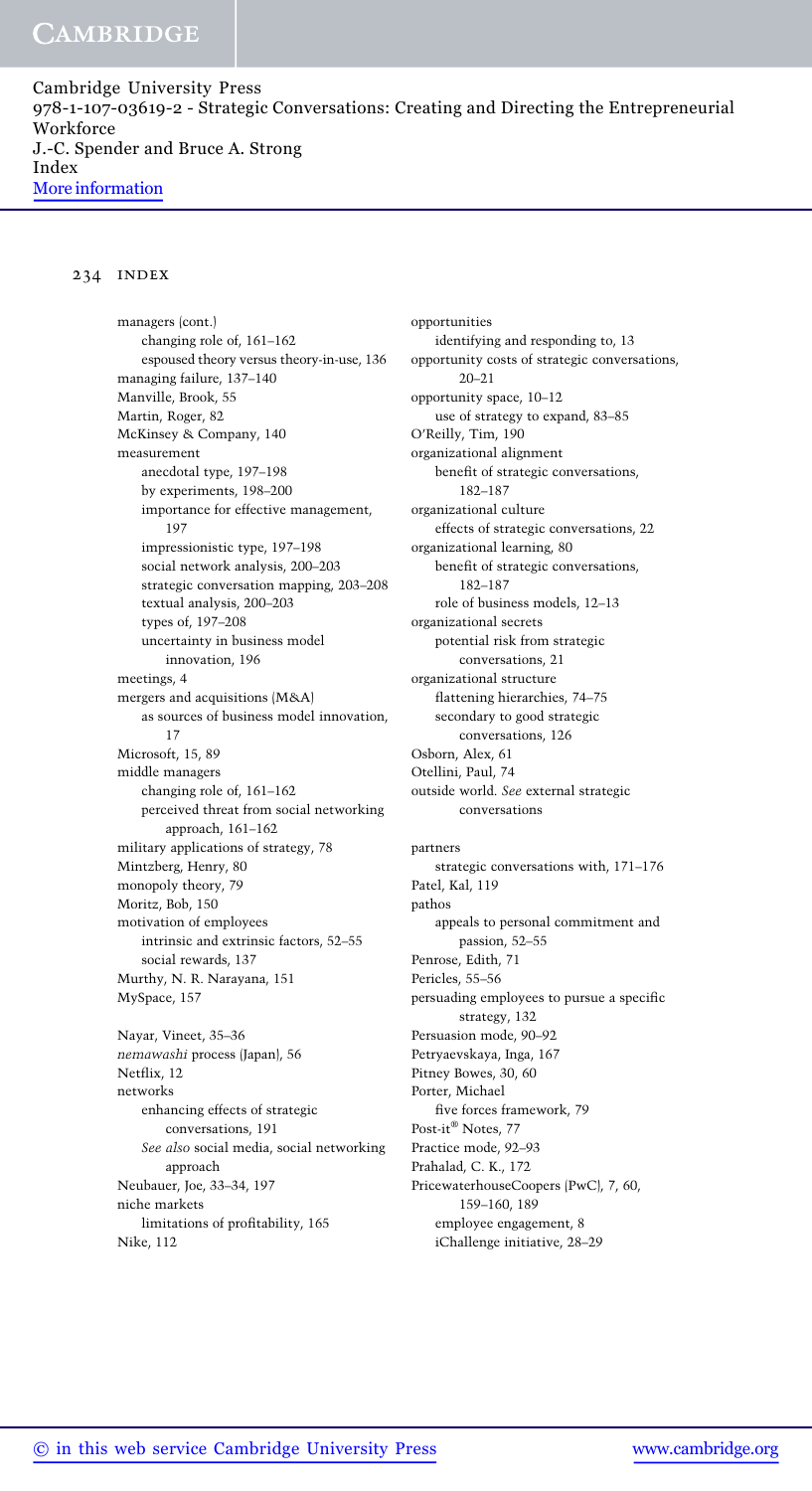Cambridge University Press 978-1-107-03619-2 - Strategic Conversations: Creating and Directing the Entrepreneurial Workforce J.-C. Spender and Bruce A. Strong Index More information

### 234 index

managers (cont.) changing role of, 161–162 espoused theory versus theory-in-use, 136 managing failure, 137–140 Manville, Brook, 55 Martin, Roger, 82 McKinsey & Company, 140 measurement anecdotal type, 197–198 by experiments, 198–200 importance for effective management, 197 impressionistic type, 197–198 social network analysis, 200–203 strategic conversation mapping, 203–208 textual analysis, 200–203 types of, 197–208 uncertainty in business model innovation, 196 meetings, 4 mergers and acquisitions (M&A) as sources of business model innovation, 17 Microsoft, 15, 89 middle managers changing role of, 161–162 perceived threat from social networking approach, 161–162 military applications of strategy, 78 Mintzberg, Henry, 80 monopoly theory, 79 Moritz, Bob, 150 motivation of employees intrinsic and extrinsic factors, 52–55 social rewards, 137 Murthy, N. R. Narayana, 151 MySpace, 157 Nayar, Vineet, 35–36

nemawashi process (Japan), 56 Netflix, 12 networks enhancing effects of strategic conversations, 191 See also social media, social networking approach Neubauer, Joe, 33–34, 197 niche markets limitations of profitability, 165 Nike, 112

opportunities identifying and responding to, 13 opportunity costs of strategic conversations, 20–21 opportunity space, 10–12 use of strategy to expand, 83–85 O'Reilly, Tim, 190 organizational alignment benefit of strategic conversations, 182–187 organizational culture effects of strategic conversations, 22 organizational learning, 80 benefit of strategic conversations, 182–187 role of business models, 12–13 organizational secrets potential risk from strategic conversations, 21 organizational structure flattening hierarchies, 74–75 secondary to good strategic conversations, 126 Osborn, Alex, 61 Otellini, Paul, 74 outside world. See external strategic conversations partners strategic conversations with, 171–176 Patel, Kal, 119 pathos appeals to personal commitment and passion, 52–55 Penrose, Edith, 71 Pericles, 55–56 persuading employees to pursue a specific strategy, 132 Persuasion mode, 90–92 Petryaevskaya, Inga, 167 Pitney Bowes, 30, 60 Porter, Michael five forces framework, 79 Post-it® Notes, 77 Practice mode, 92–93 Prahalad, C. K., 172 PricewaterhouseCoopers (PwC), 7, 60, 159–160, 189 employee engagement, 8 iChallenge initiative, 28–29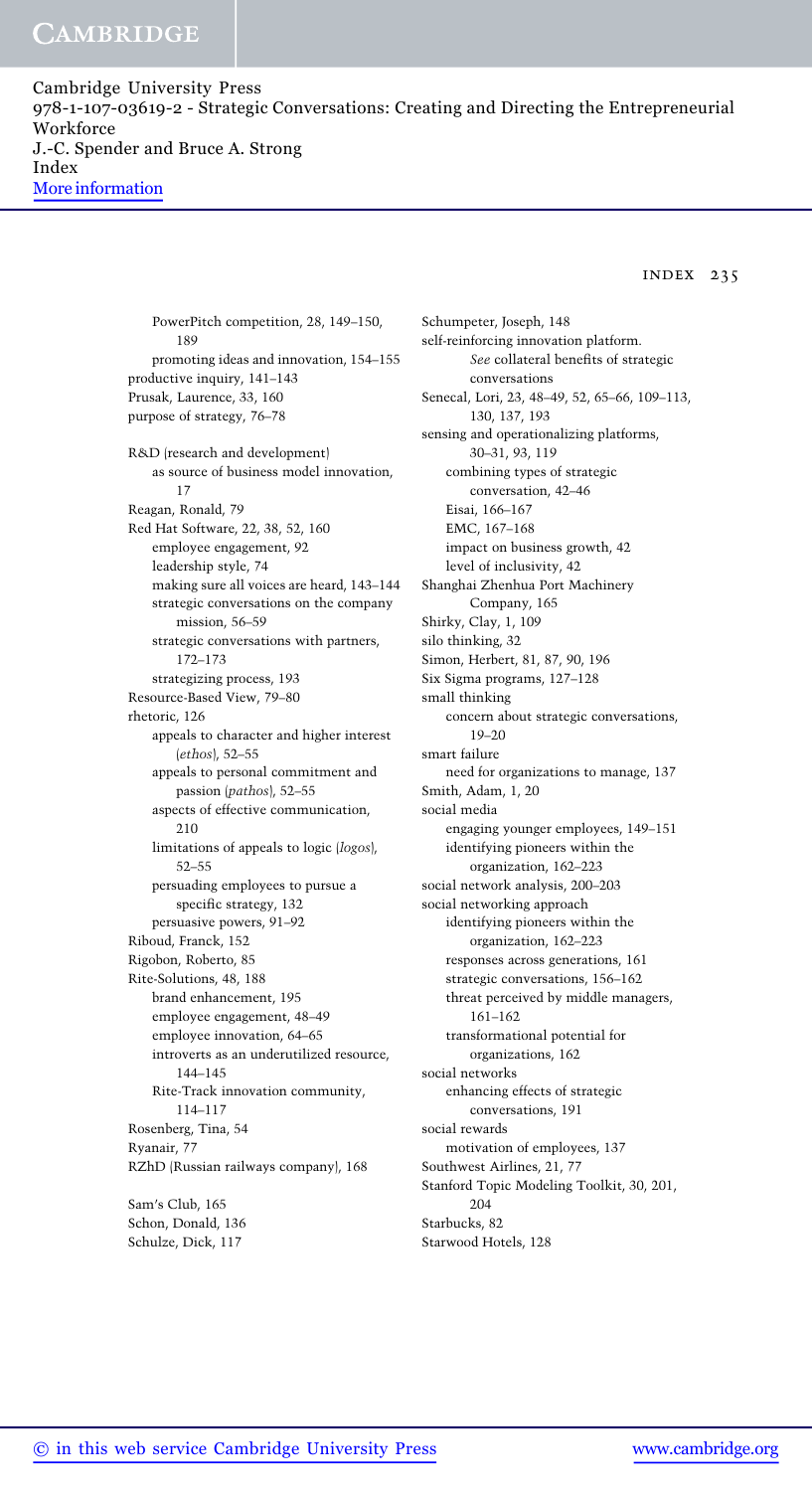Cambridge University Press 978-1-107-03619-2 - Strategic Conversations: Creating and Directing the Entrepreneurial Workforce J.-C. Spender and Bruce A. Strong Index More information

index 235

PowerPitch competition, 28, 149–150, 189 promoting ideas and innovation, 154–155 productive inquiry, 141–143 Prusak, Laurence, 33, 160 purpose of strategy, 76–78 R&D (research and development) as source of business model innovation, 17 Reagan, Ronald, 79 Red Hat Software, 22, 38, 52, 160 employee engagement, 92 leadership style, 74 making sure all voices are heard, 143–144 strategic conversations on the company mission, 56–59 strategic conversations with partners, 172–173 strategizing process, 193 Resource-Based View, 79–80 rhetoric, 126 appeals to character and higher interest (ethos), 52–55 appeals to personal commitment and passion (pathos), 52–55 aspects of effective communication, 210 limitations of appeals to logic (logos), 52–55 persuading employees to pursue a specific strategy, 132 persuasive powers, 91–92 Riboud, Franck, 152 Rigobon, Roberto, 85 Rite-Solutions, 48, 188 brand enhancement, 195 employee engagement, 48–49 employee innovation, 64–65 introverts as an underutilized resource, 144–145 Rite-Track innovation community, 114–117 Rosenberg, Tina, 54 Ryanair, 77 RZhD (Russian railways company), 168 Sam's Club, 165

Schon, Donald, 136 Schulze, Dick, 117

Schumpeter, Joseph, 148 self-reinforcing innovation platform. See collateral benefits of strategic conversations Senecal, Lori, 23, 48–49, 52, 65–66, 109–113, 130, 137, 193 sensing and operationalizing platforms, 30–31, 93, 119 combining types of strategic conversation, 42–46 Eisai, 166–167 EMC, 167–168 impact on business growth, 42 level of inclusivity, 42 Shanghai Zhenhua Port Machinery Company, 165 Shirky, Clay, 1, 109 silo thinking, 32 Simon, Herbert, 81, 87, 90, 196 Six Sigma programs, 127–128 small thinking concern about strategic conversations, 19–20 smart failure need for organizations to manage, 137 Smith, Adam, 1, 20 social media engaging younger employees, 149–151 identifying pioneers within the organization, 162–223 social network analysis, 200–203 social networking approach identifying pioneers within the organization, 162–223 responses across generations, 161 strategic conversations, 156–162 threat perceived by middle managers, 161–162 transformational potential for organizations, 162 social networks enhancing effects of strategic conversations, 191 social rewards motivation of employees, 137 Southwest Airlines, 21, 77 Stanford Topic Modeling Toolkit, 30, 201, 204 Starbucks, 82

Starwood Hotels, 128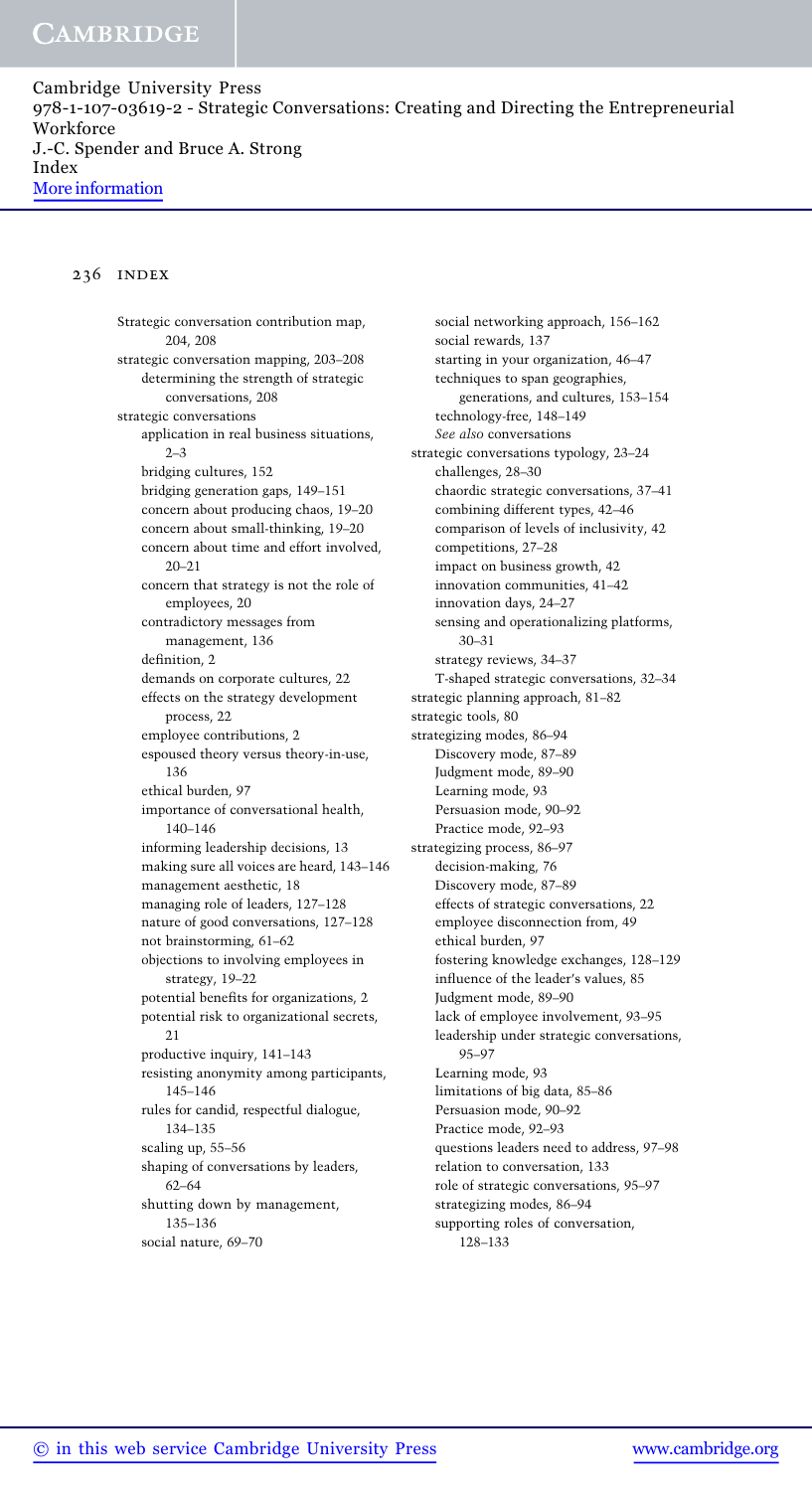Cambridge University Press 978-1-107-03619-2 - Strategic Conversations: Creating and Directing the Entrepreneurial Workforce J.-C. Spender and Bruce A. Strong Index More information

### 236 index

Strategic conversation contribution map, 204, 208 strategic conversation mapping, 203–208 determining the strength of strategic conversations, 208 strategic conversations application in real business situations,  $2 - 3$ bridging cultures, 152 bridging generation gaps, 149–151 concern about producing chaos, 19–20 concern about small-thinking, 19–20 concern about time and effort involved,  $20 - 21$ concern that strategy is not the role of employees, 20 contradictory messages from management, 136 definition, 2 demands on corporate cultures, 22 effects on the strategy development process, 22 employee contributions, 2 espoused theory versus theory-in-use, 136 ethical burden, 97 importance of conversational health, 140–146 informing leadership decisions, 13 making sure all voices are heard, 143–146 management aesthetic, 18 managing role of leaders, 127–128 nature of good conversations, 127–128 not brainstorming, 61–62 objections to involving employees in strategy, 19–22 potential benefits for organizations, 2 potential risk to organizational secrets, 21 productive inquiry, 141–143 resisting anonymity among participants, 145–146 rules for candid, respectful dialogue, 134–135 scaling up, 55–56 shaping of conversations by leaders, 62–64 shutting down by management, 135–136 social nature, 69–70

social networking approach, 156–162 social rewards, 137 starting in your organization, 46–47 techniques to span geographies, generations, and cultures, 153–154 technology-free, 148–149 See also conversations strategic conversations typology, 23–24 challenges, 28–30 chaordic strategic conversations, 37–41 combining different types, 42–46 comparison of levels of inclusivity, 42 competitions, 27–28 impact on business growth, 42 innovation communities, 41–42 innovation days, 24–27 sensing and operationalizing platforms, 30–31 strategy reviews, 34–37 T-shaped strategic conversations, 32–34 strategic planning approach, 81–82 strategic tools, 80 strategizing modes, 86–94 Discovery mode, 87–89 Judgment mode, 89–90 Learning mode, 93 Persuasion mode, 90–92 Practice mode, 92–93 strategizing process, 86–97 decision-making, 76 Discovery mode, 87–89 effects of strategic conversations, 22 employee disconnection from, 49 ethical burden, 97 fostering knowledge exchanges, 128–129 influence of the leader's values, 85 Judgment mode, 89–90 lack of employee involvement, 93–95 leadership under strategic conversations, 95–97 Learning mode, 93 limitations of big data, 85–86 Persuasion mode, 90–92 Practice mode, 92–93 questions leaders need to address, 97–98 relation to conversation, 133 role of strategic conversations, 95–97 strategizing modes, 86–94 supporting roles of conversation, 128–133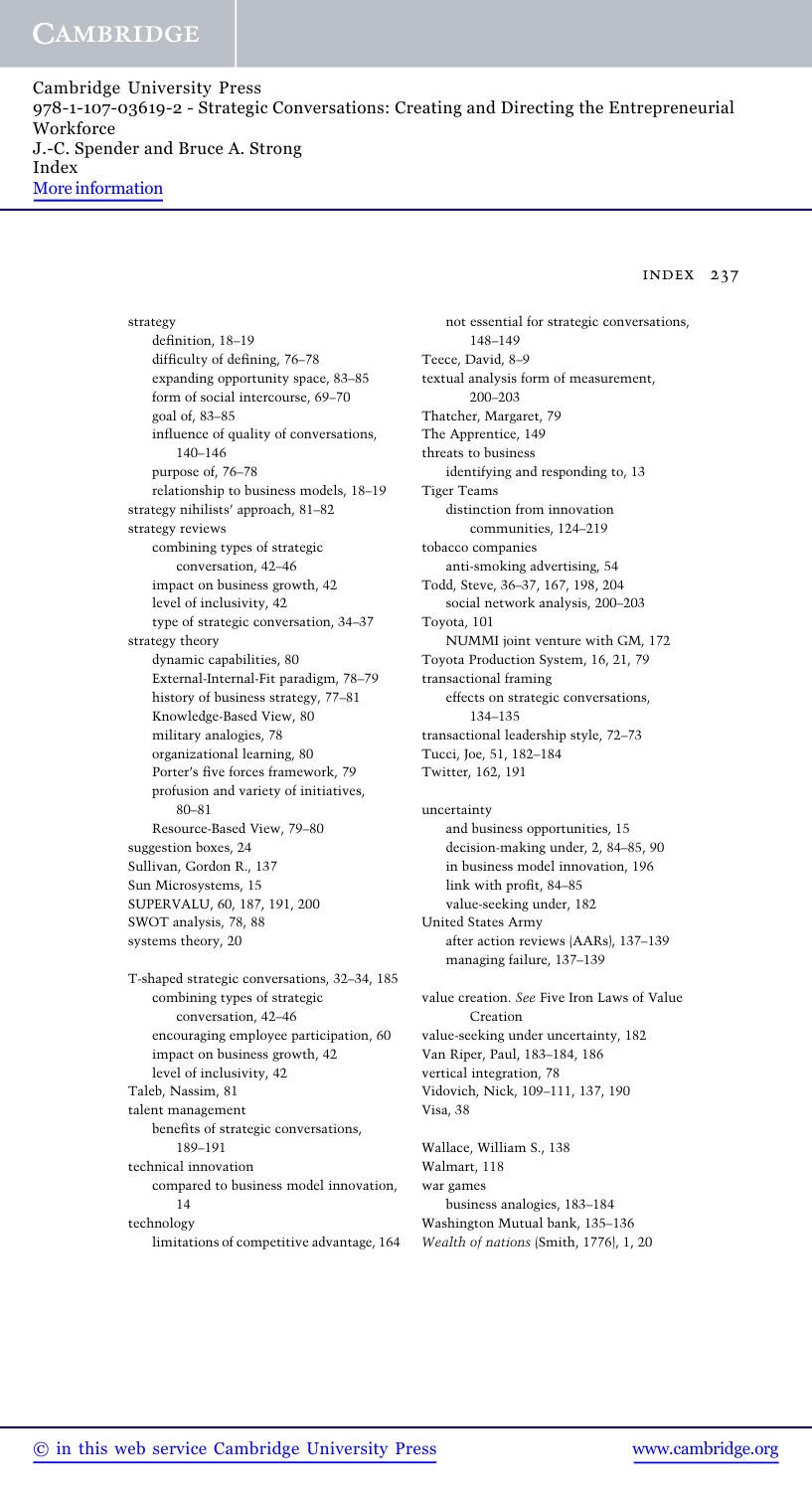Cambridge University Press 978-1-107-03619-2 - Strategic Conversations: Creating and Directing the Entrepreneurial Workforce J.-C. Spender and Bruce A. Strong Index More information

index 237

strategy definition, 18–19 difficulty of defining, 76–78 expanding opportunity space, 83–85 form of social intercourse, 69–70 goal of, 83–85 influence of quality of conversations, 140–146 purpose of, 76–78 relationship to business models, 18–19 strategy nihilists' approach, 81–82 strategy reviews combining types of strategic conversation, 42–46 impact on business growth, 42 level of inclusivity, 42 type of strategic conversation, 34–37 strategy theory dynamic capabilities, 80 External-Internal-Fit paradigm, 78–79 history of business strategy, 77–81 Knowledge-Based View, 80 military analogies, 78 organizational learning, 80 Porter's five forces framework, 79 profusion and variety of initiatives, 80–81 Resource-Based View, 79–80 suggestion boxes, 24 Sullivan, Gordon R., 137 Sun Microsystems, 15 SUPERVALU, 60, 187, 191, 200 SWOT analysis, 78, 88 systems theory, 20 T-shaped strategic conversations, 32–34, 185 combining types of strategic conversation, 42–46 encouraging employee participation, 60 impact on business growth, 42 level of inclusivity, 42 Taleb, Nassim, 81 talent management benefits of strategic conversations, 189–191 technical innovation compared to business model innovation, 14 technology

limitations of competitive advantage, 164

not essential for strategic conversations, 148–149 Teece, David, 8–9 textual analysis form of measurement, 200–203 Thatcher, Margaret, 79 The Apprentice, 149 threats to business identifying and responding to, 13 Tiger Teams distinction from innovation communities, 124–219 tobacco companies anti-smoking advertising, 54 Todd, Steve, 36–37, 167, 198, 204 social network analysis, 200–203 Toyota, 101 NUMMI joint venture with GM, 172 Toyota Production System, 16, 21, 79 transactional framing effects on strategic conversations, 134–135 transactional leadership style, 72–73 Tucci, Joe, 51, 182–184 Twitter, 162, 191 uncertainty and business opportunities, 15 decision-making under, 2, 84–85, 90 in business model innovation, 196 link with profit, 84–85 value-seeking under, 182 United States Army after action reviews (AARs), 137–139 managing failure, 137–139 value creation. See Five Iron Laws of Value Creation value-seeking under uncertainty, 182 Van Riper, Paul, 183–184, 186

vertical integration, 78

Visa, 38

Vidovich, Nick, 109–111, 137, 190

Wallace, William S., 138 Walmart, 118 war games business analogies, 183–184 Washington Mutual bank, 135–136 Wealth of nations (Smith, 1776), 1, 20